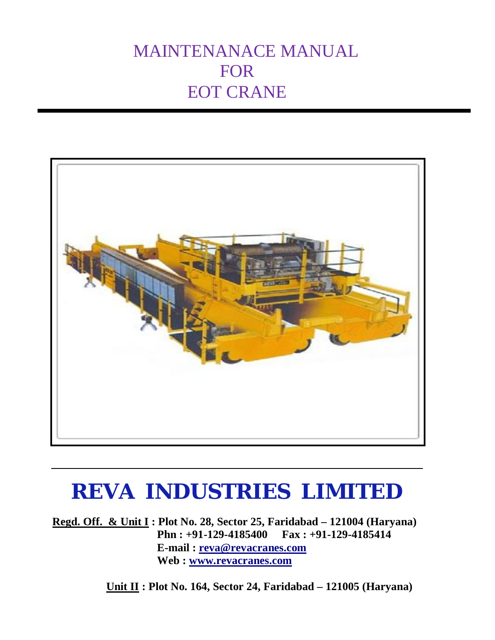## MAINTENANACE MANUAL FOR EOT CRANE



# **REVA INDUSTRIES LIMITED**

**Regd. Off. & Unit I : Plot No. 28, Sector 25, Faridabad – 121004 (Haryana) Phn : +91-129-4185400 Fax : +91-129-4185414 E-mail : reva@revacranes.com Web : www.revacranes.com** 

 **Unit II : Plot No. 164, Sector 24, Faridabad – 121005 (Haryana)**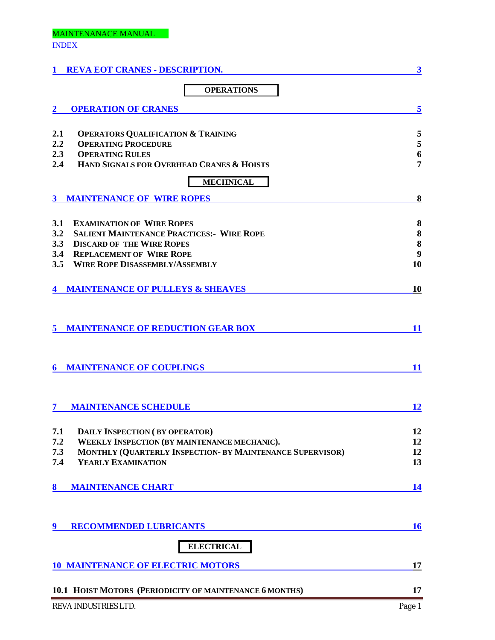## MAINTENANACE MANUAL INDEX

| <b>REVA EOT CRANES - DESCRIPTION.</b>                            | 3         |
|------------------------------------------------------------------|-----------|
| <b>OPERATIONS</b>                                                |           |
| <b>OPERATION OF CRANES</b>                                       | 5         |
| 2.1<br><b>OPERATORS QUALIFICATION &amp; TRAINING</b>             | 5         |
| <b>OPERATING PROCEDURE</b><br>2.2                                | 5         |
| 2.3<br><b>OPERATING RULES</b>                                    | 6         |
| HAND SIGNALS FOR OVERHEAD CRANES & HOISTS<br>2.4                 | 7         |
| <b>MECHNICAL</b>                                                 |           |
| <b>MAINTENANCE OF WIRE ROPES</b><br>3                            | 8         |
| 3.1<br><b>EXAMINATION OF WIRE ROPES</b>                          | 8         |
| 3.2<br><b>SALIENT MAINTENANCE PRACTICES:- WIRE ROPE</b>          | 8         |
| 3.3<br><b>DISCARD OF THE WIRE ROPES</b>                          | 8         |
| 3.4<br><b>REPLACEMENT OF WIRE ROPE</b>                           | 9         |
| <b>WIRE ROPE DISASSEMBLY/ASSEMBLY</b><br>3.5                     | 10        |
| <b>4 MAINTENANCE OF PULLEYS &amp; SHEAVES</b>                    | 10        |
| <b>MAINTENANCE OF REDUCTION GEAR BOX</b><br>5                    | <b>11</b> |
| <b>MAINTENANCE OF COUPLINGS</b><br>6                             | 11        |
| <b>MAINTENANCE SCHEDULE</b>                                      | 12        |
| 7.1<br><b>DAILY INSPECTION (BY OPERATOR)</b>                     | 12        |
| WEEKLY INSPECTION (BY MAINTENANCE MECHANIC).<br>7.2              | 12        |
| MONTHLY (QUARTERLY INSPECTION- BY MAINTENANCE SUPERVISOR)<br>7.3 | 12        |
| YEARLY EXAMINATION<br>7.4                                        | 13        |
| 8<br><b>MAINTENANCE CHART</b>                                    | 14        |
| <b>RECOMMENDED LUBRICANTS</b><br>9                               | <b>16</b> |
| <b>ELECTRICAL</b>                                                |           |
| <b>10 MAINTENANCE OF ELECTRIC MOTORS</b>                         | 17        |
| 10.1 HOIST MOTORS (PERIODICITY OF MAINTENANCE 6 MONTHS)          | 17        |
| REVA INDUSTRIES LTD.                                             | Page 1    |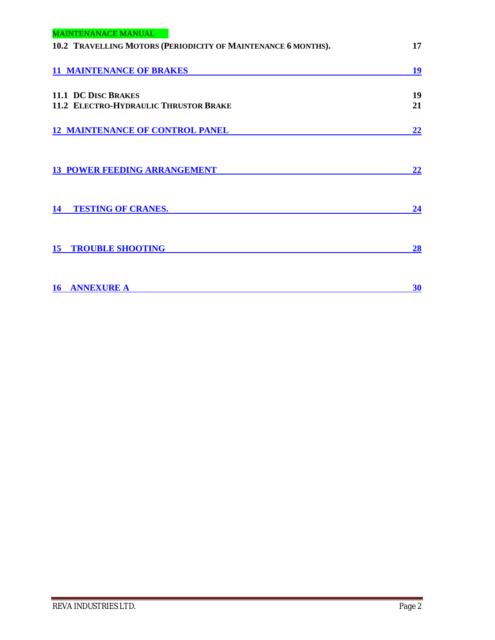| <b>MAINTENANACE MANUAL</b>                                          |          |
|---------------------------------------------------------------------|----------|
| 10.2 TRAVELLING MOTORS (PERIODICITY OF MAINTENANCE 6 MONTHS).       | 17       |
| <b>11 MAINTENANCE OF BRAKES</b>                                     | 19       |
| <b>11.1 DC DISC BRAKES</b><br>11.2 ELECTRO-HYDRAULIC THRUSTOR BRAKE | 19<br>21 |
|                                                                     |          |
| <b>12 MAINTENANCE OF CONTROL PANEL</b>                              | 22       |
| <b>13 POWER FEEDING ARRANGEMENT</b>                                 | 22       |
| <b>TESTING OF CRANES.</b><br>14                                     | 24       |
| <b>15 TROUBLE SHOOTING</b>                                          | 28       |
| <b>ANNEXURE A</b><br>16                                             | 30       |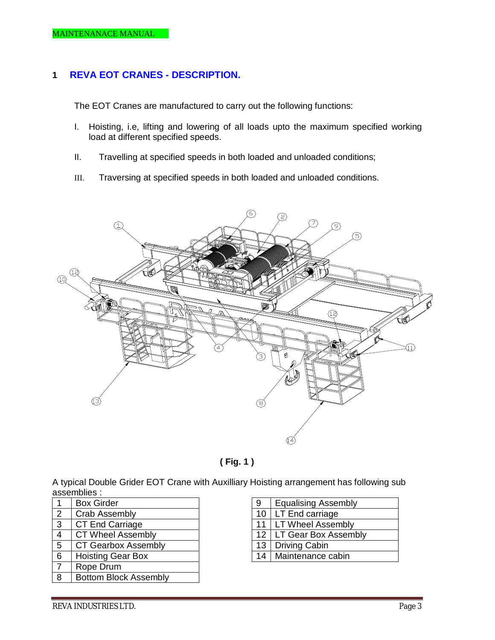## **1 REVA EOT CRANES - DESCRIPTION.**

The EOT Cranes are manufactured to carry out the following functions:

- I. Hoisting, i.e, lifting and lowering of all loads upto the maximum specified working load at different specified speeds.
- II. Travelling at specified speeds in both loaded and unloaded conditions;
- III. Traversing at specified speeds in both loaded and unloaded conditions.





A typical Double Grider EOT Crane with Auxilliary Hoisting arrangement has following sub assemblies :

|                | <b>Box Girder</b>            |
|----------------|------------------------------|
| $\overline{2}$ | <b>Crab Assembly</b>         |
| 3              | <b>CT End Carriage</b>       |
| 4              | <b>CT Wheel Assembly</b>     |
| 5              | <b>CT Gearbox Assembly</b>   |
| 6              | <b>Hoisting Gear Box</b>     |
| 7              | Rope Drum                    |
| 8              | <b>Bottom Block Assembly</b> |

| 9  | <b>Equalising Assembly</b> |
|----|----------------------------|
| 10 | LT End carriage            |
| 11 | <b>LT Wheel Assembly</b>   |
| 12 | LT Gear Box Assembly       |
| 13 | <b>Driving Cabin</b>       |
| 14 | Maintenance cabin          |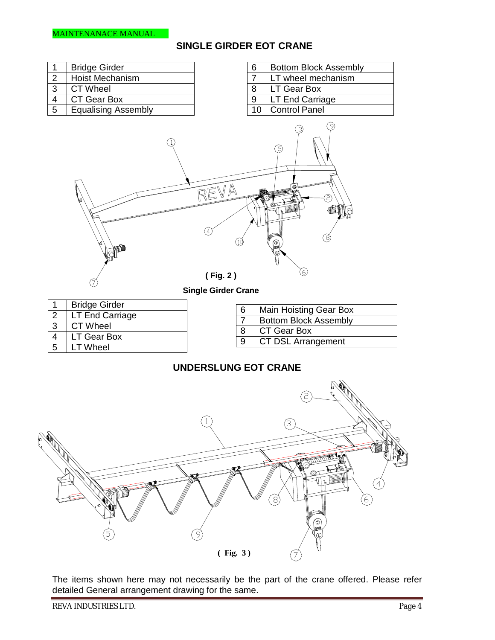



The items shown here may not necessarily be the part of the crane offered. Please refer detailed General arrangement drawing for the same.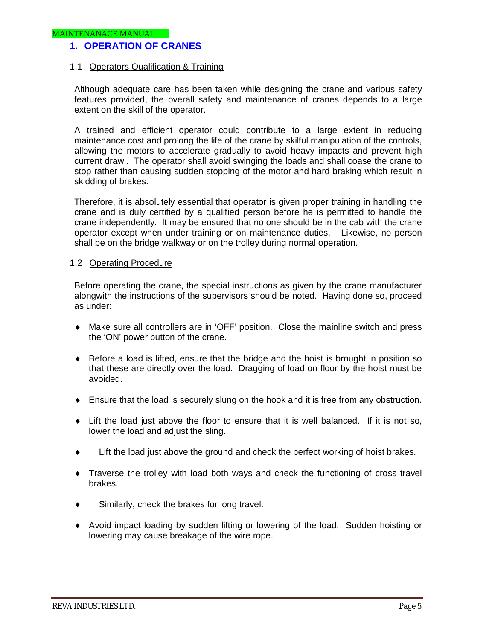## **1. OPERATION OF CRANES**

#### 1.1 Operators Qualification & Training

Although adequate care has been taken while designing the crane and various safety features provided, the overall safety and maintenance of cranes depends to a large extent on the skill of the operator.

A trained and efficient operator could contribute to a large extent in reducing maintenance cost and prolong the life of the crane by skilful manipulation of the controls, allowing the motors to accelerate gradually to avoid heavy impacts and prevent high current drawl. The operator shall avoid swinging the loads and shall coase the crane to stop rather than causing sudden stopping of the motor and hard braking which result in skidding of brakes.

Therefore, it is absolutely essential that operator is given proper training in handling the crane and is duly certified by a qualified person before he is permitted to handle the crane independently. It may be ensured that no one should be in the cab with the crane operator except when under training or on maintenance duties. Likewise, no person shall be on the bridge walkway or on the trolley during normal operation.

#### 1.2 Operating Procedure

Before operating the crane, the special instructions as given by the crane manufacturer alongwith the instructions of the supervisors should be noted. Having done so, proceed as under:

- Make sure all controllers are in 'OFF' position. Close the mainline switch and press the 'ON' power button of the crane.
- Before a load is lifted, ensure that the bridge and the hoist is brought in position so that these are directly over the load. Dragging of load on floor by the hoist must be avoided.
- Ensure that the load is securely slung on the hook and it is free from any obstruction.
- Lift the load just above the floor to ensure that it is well balanced. If it is not so, lower the load and adjust the sling.
- Lift the load just above the ground and check the perfect working of hoist brakes.
- Traverse the trolley with load both ways and check the functioning of cross travel brakes.
- Similarly, check the brakes for long travel.
- Avoid impact loading by sudden lifting or lowering of the load. Sudden hoisting or lowering may cause breakage of the wire rope.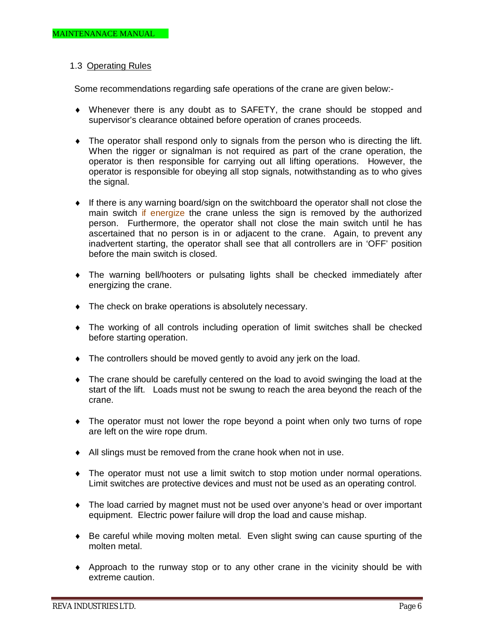#### 1.3 Operating Rules

Some recommendations regarding safe operations of the crane are given below:-

- Whenever there is any doubt as to SAFETY, the crane should be stopped and supervisor's clearance obtained before operation of cranes proceeds.
- The operator shall respond only to signals from the person who is directing the lift. When the rigger or signalman is not required as part of the crane operation, the operator is then responsible for carrying out all lifting operations. However, the operator is responsible for obeying all stop signals, notwithstanding as to who gives the signal.
- If there is any warning board/sign on the switchboard the operator shall not close the main switch if energize the crane unless the sign is removed by the authorized person. Furthermore, the operator shall not close the main switch until he has ascertained that no person is in or adjacent to the crane. Again, to prevent any inadvertent starting, the operator shall see that all controllers are in 'OFF' position before the main switch is closed.
- The warning bell/hooters or pulsating lights shall be checked immediately after energizing the crane.
- $\bullet$  The check on brake operations is absolutely necessary.
- The working of all controls including operation of limit switches shall be checked before starting operation.
- The controllers should be moved gently to avoid any jerk on the load.
- The crane should be carefully centered on the load to avoid swinging the load at the start of the lift. Loads must not be swung to reach the area beyond the reach of the crane.
- The operator must not lower the rope beyond a point when only two turns of rope are left on the wire rope drum.
- All slings must be removed from the crane hook when not in use.
- The operator must not use a limit switch to stop motion under normal operations. Limit switches are protective devices and must not be used as an operating control.
- The load carried by magnet must not be used over anyone's head or over important equipment. Electric power failure will drop the load and cause mishap.
- Be careful while moving molten metal. Even slight swing can cause spurting of the molten metal.
- Approach to the runway stop or to any other crane in the vicinity should be with extreme caution.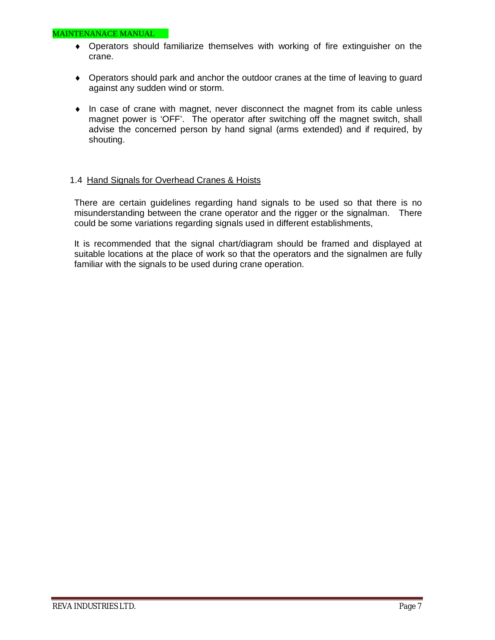- Operators should familiarize themselves with working of fire extinguisher on the crane.
- Operators should park and anchor the outdoor cranes at the time of leaving to guard against any sudden wind or storm.
- In case of crane with magnet, never disconnect the magnet from its cable unless magnet power is 'OFF'. The operator after switching off the magnet switch, shall advise the concerned person by hand signal (arms extended) and if required, by shouting.

#### 1.4 Hand Signals for Overhead Cranes & Hoists

There are certain guidelines regarding hand signals to be used so that there is no misunderstanding between the crane operator and the rigger or the signalman. There could be some variations regarding signals used in different establishments,

It is recommended that the signal chart/diagram should be framed and displayed at suitable locations at the place of work so that the operators and the signalmen are fully familiar with the signals to be used during crane operation.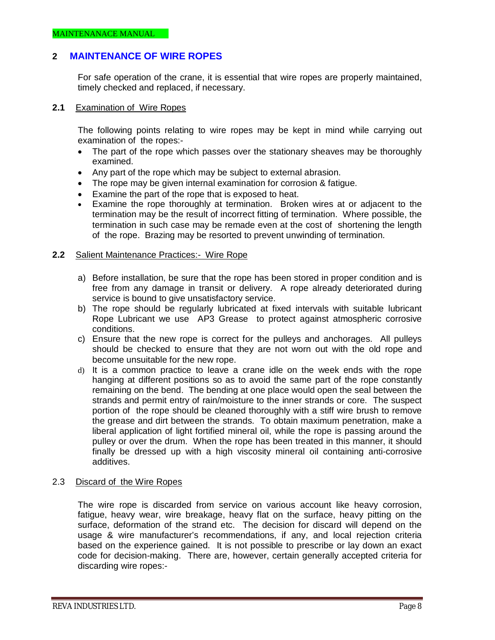## **2 MAINTENANCE OF WIRE ROPES**

For safe operation of the crane, it is essential that wire ropes are properly maintained, timely checked and replaced, if necessary.

#### **2.1** Examination of Wire Ropes

The following points relating to wire ropes may be kept in mind while carrying out examination of the ropes:-

- The part of the rope which passes over the stationary sheaves may be thoroughly examined.
- Any part of the rope which may be subject to external abrasion.
- The rope may be given internal examination for corrosion & fatigue.
- Examine the part of the rope that is exposed to heat.
- Examine the rope thoroughly at termination. Broken wires at or adjacent to the termination may be the result of incorrect fitting of termination. Where possible, the termination in such case may be remade even at the cost of shortening the length of the rope. Brazing may be resorted to prevent unwinding of termination.

#### **2.2** Salient Maintenance Practices:- Wire Rope

- a) Before installation, be sure that the rope has been stored in proper condition and is free from any damage in transit or delivery. A rope already deteriorated during service is bound to give unsatisfactory service.
- b) The rope should be regularly lubricated at fixed intervals with suitable lubricant Rope Lubricant we use AP3 Grease to protect against atmospheric corrosive conditions.
- c) Ensure that the new rope is correct for the pulleys and anchorages. All pulleys should be checked to ensure that they are not worn out with the old rope and become unsuitable for the new rope.
- d) It is a common practice to leave a crane idle on the week ends with the rope hanging at different positions so as to avoid the same part of the rope constantly remaining on the bend. The bending at one place would open the seal between the strands and permit entry of rain/moisture to the inner strands or core. The suspect portion of the rope should be cleaned thoroughly with a stiff wire brush to remove the grease and dirt between the strands. To obtain maximum penetration, make a liberal application of light fortified mineral oil, while the rope is passing around the pulley or over the drum. When the rope has been treated in this manner, it should finally be dressed up with a high viscosity mineral oil containing anti-corrosive additives.
- 2.3 Discard of the Wire Ropes

The wire rope is discarded from service on various account like heavy corrosion, fatigue, heavy wear, wire breakage, heavy flat on the surface, heavy pitting on the surface, deformation of the strand etc. The decision for discard will depend on the usage & wire manufacturer's recommendations, if any, and local rejection criteria based on the experience gained. It is not possible to prescribe or lay down an exact code for decision-making. There are, however, certain generally accepted criteria for discarding wire ropes:-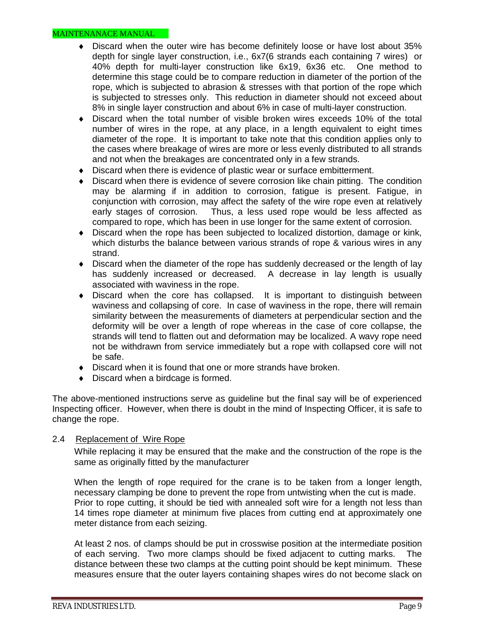- Discard when the outer wire has become definitely loose or have lost about 35% depth for single layer construction, i.e., 6x7(6 strands each containing 7 wires) or 40% depth for multi-layer construction like 6x19, 6x36 etc. One method to determine this stage could be to compare reduction in diameter of the portion of the rope, which is subjected to abrasion & stresses with that portion of the rope which is subjected to stresses only. This reduction in diameter should not exceed about 8% in single layer construction and about 6% in case of multi-layer construction.
- Discard when the total number of visible broken wires exceeds 10% of the total number of wires in the rope, at any place, in a length equivalent to eight times diameter of the rope. It is important to take note that this condition applies only to the cases where breakage of wires are more or less evenly distributed to all strands and not when the breakages are concentrated only in a few strands.
- Discard when there is evidence of plastic wear or surface embitterment.
- Discard when there is evidence of severe corrosion like chain pitting. The condition may be alarming if in addition to corrosion, fatigue is present. Fatigue, in conjunction with corrosion, may affect the safety of the wire rope even at relatively early stages of corrosion. Thus, a less used rope would be less affected as compared to rope, which has been in use longer for the same extent of corrosion.
- Discard when the rope has been subjected to localized distortion, damage or kink, which disturbs the balance between various strands of rope & various wires in any strand.
- Discard when the diameter of the rope has suddenly decreased or the length of lay has suddenly increased or decreased. A decrease in lay length is usually associated with waviness in the rope.
- Discard when the core has collapsed. It is important to distinguish between waviness and collapsing of core. In case of waviness in the rope, there will remain similarity between the measurements of diameters at perpendicular section and the deformity will be over a length of rope whereas in the case of core collapse, the strands will tend to flatten out and deformation may be localized. A wavy rope need not be withdrawn from service immediately but a rope with collapsed core will not be safe.
- $\bullet$  Discard when it is found that one or more strands have broken.
- Discard when a birdcage is formed.

The above-mentioned instructions serve as guideline but the final say will be of experienced Inspecting officer. However, when there is doubt in the mind of Inspecting Officer, it is safe to change the rope.

#### 2.4 Replacement of Wire Rope

While replacing it may be ensured that the make and the construction of the rope is the same as originally fitted by the manufacturer

When the length of rope required for the crane is to be taken from a longer length, necessary clamping be done to prevent the rope from untwisting when the cut is made. Prior to rope cutting, it should be tied with annealed soft wire for a length not less than 14 times rope diameter at minimum five places from cutting end at approximately one meter distance from each seizing.

At least 2 nos. of clamps should be put in crosswise position at the intermediate position of each serving. Two more clamps should be fixed adjacent to cutting marks. The distance between these two clamps at the cutting point should be kept minimum. These measures ensure that the outer layers containing shapes wires do not become slack on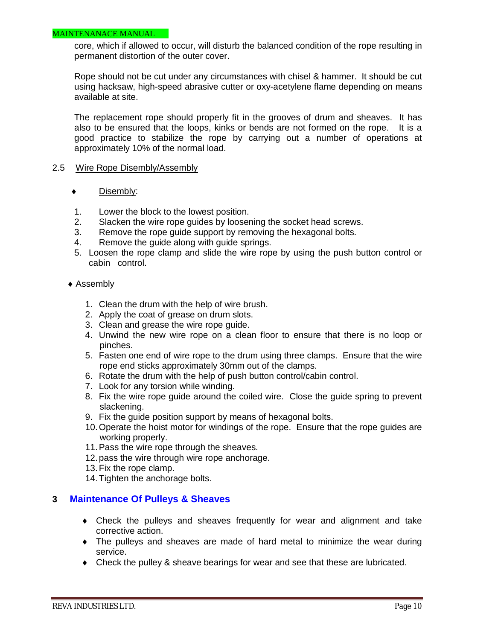#### MAINTENANACE MANUAL

core, which if allowed to occur, will disturb the balanced condition of the rope resulting in permanent distortion of the outer cover.

Rope should not be cut under any circumstances with chisel & hammer. It should be cut using hacksaw, high-speed abrasive cutter or oxy-acetylene flame depending on means available at site.

The replacement rope should properly fit in the grooves of drum and sheaves. It has also to be ensured that the loops, kinks or bends are not formed on the rope. It is a good practice to stabilize the rope by carrying out a number of operations at approximately 10% of the normal load.

#### 2.5 Wire Rope Disembly/Assembly

- ◆ Disembly:
- 1. Lower the block to the lowest position.
- 2. Slacken the wire rope guides by loosening the socket head screws.
- 3. Remove the rope guide support by removing the hexagonal bolts.
- 4. Remove the guide along with guide springs.
- 5. Loosen the rope clamp and slide the wire rope by using the push button control or cabin control.

#### ◆ Assembly

- 1. Clean the drum with the help of wire brush.
- 2. Apply the coat of grease on drum slots.
- 3. Clean and grease the wire rope guide.
- 4. Unwind the new wire rope on a clean floor to ensure that there is no loop or pinches.
- 5. Fasten one end of wire rope to the drum using three clamps. Ensure that the wire rope end sticks approximately 30mm out of the clamps.
- 6. Rotate the drum with the help of push button control/cabin control.
- 7. Look for any torsion while winding.
- 8. Fix the wire rope guide around the coiled wire. Close the guide spring to prevent slackening.
- 9. Fix the guide position support by means of hexagonal bolts.
- 10.Operate the hoist motor for windings of the rope. Ensure that the rope guides are working properly.
- 11.Pass the wire rope through the sheaves.
- 12.pass the wire through wire rope anchorage.
- 13.Fix the rope clamp.
- 14.Tighten the anchorage bolts.

#### **3 Maintenance Of Pulleys & Sheaves**

- Check the pulleys and sheaves frequently for wear and alignment and take corrective action.
- The pulleys and sheaves are made of hard metal to minimize the wear during service.
- Check the pulley & sheave bearings for wear and see that these are lubricated.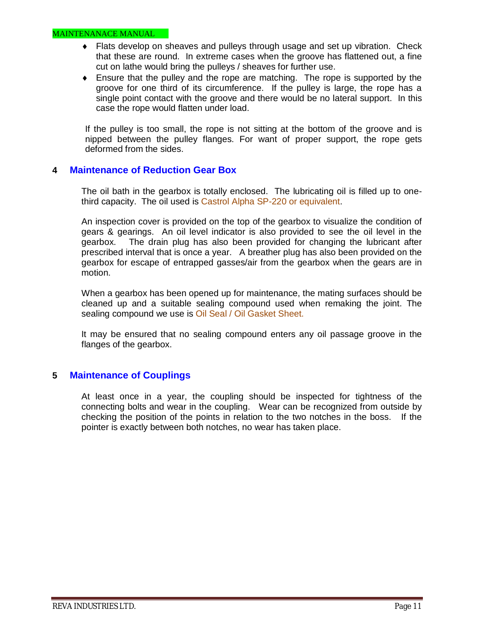- Flats develop on sheaves and pulleys through usage and set up vibration. Check that these are round. In extreme cases when the groove has flattened out, a fine cut on lathe would bring the pulleys / sheaves for further use.
- Ensure that the pulley and the rope are matching. The rope is supported by the groove for one third of its circumference. If the pulley is large, the rope has a single point contact with the groove and there would be no lateral support. In this case the rope would flatten under load.

If the pulley is too small, the rope is not sitting at the bottom of the groove and is nipped between the pulley flanges. For want of proper support, the rope gets deformed from the sides.

## **4 Maintenance of Reduction Gear Box**

The oil bath in the gearbox is totally enclosed. The lubricating oil is filled up to onethird capacity. The oil used is Castrol Alpha SP-220 or equivalent.

An inspection cover is provided on the top of the gearbox to visualize the condition of gears & gearings. An oil level indicator is also provided to see the oil level in the gearbox. The drain plug has also been provided for changing the lubricant after prescribed interval that is once a year. A breather plug has also been provided on the gearbox for escape of entrapped gasses/air from the gearbox when the gears are in motion.

When a gearbox has been opened up for maintenance, the mating surfaces should be cleaned up and a suitable sealing compound used when remaking the joint. The sealing compound we use is Oil Seal / Oil Gasket Sheet.

It may be ensured that no sealing compound enters any oil passage groove in the flanges of the gearbox.

## **5 Maintenance of Couplings**

At least once in a year, the coupling should be inspected for tightness of the connecting bolts and wear in the coupling. Wear can be recognized from outside by checking the position of the points in relation to the two notches in the boss. If the pointer is exactly between both notches, no wear has taken place.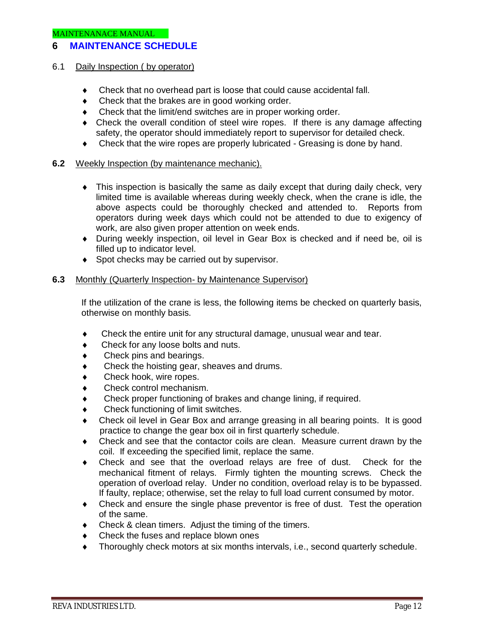## **6 MAINTENANCE SCHEDULE**

#### 6.1 Daily Inspection ( by operator)

- Check that no overhead part is loose that could cause accidental fall.
- Check that the brakes are in good working order.
- Check that the limit/end switches are in proper working order.
- Check the overall condition of steel wire ropes. If there is any damage affecting safety, the operator should immediately report to supervisor for detailed check.
- Check that the wire ropes are properly lubricated Greasing is done by hand.

#### **6.2** Weekly Inspection (by maintenance mechanic).

- This inspection is basically the same as daily except that during daily check, very limited time is available whereas during weekly check, when the crane is idle, the above aspects could be thoroughly checked and attended to. Reports from operators during week days which could not be attended to due to exigency of work, are also given proper attention on week ends.
- During weekly inspection, oil level in Gear Box is checked and if need be, oil is filled up to indicator level.
- ◆ Spot checks may be carried out by supervisor.

#### **6.3** Monthly (Quarterly Inspection- by Maintenance Supervisor)

If the utilization of the crane is less, the following items be checked on quarterly basis, otherwise on monthly basis.

- Check the entire unit for any structural damage, unusual wear and tear.
- Check for any loose bolts and nuts.
- Check pins and bearings.
- Check the hoisting gear, sheaves and drums.
- Check hook, wire ropes.
- Check control mechanism.
- Check proper functioning of brakes and change lining, if required.
- Check functioning of limit switches.
- Check oil level in Gear Box and arrange greasing in all bearing points. It is good practice to change the gear box oil in first quarterly schedule.
- Check and see that the contactor coils are clean. Measure current drawn by the coil. If exceeding the specified limit, replace the same.
- Check and see that the overload relays are free of dust. Check for the mechanical fitment of relays. Firmly tighten the mounting screws. Check the operation of overload relay. Under no condition, overload relay is to be bypassed. If faulty, replace; otherwise, set the relay to full load current consumed by motor.
- Check and ensure the single phase preventor is free of dust. Test the operation of the same.
- Check & clean timers. Adjust the timing of the timers.
- Check the fuses and replace blown ones
- Thoroughly check motors at six months intervals, i.e., second quarterly schedule.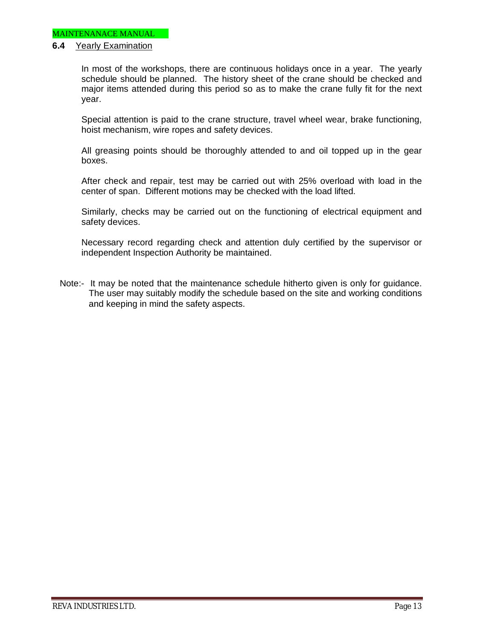#### **6.4** Yearly Examination

In most of the workshops, there are continuous holidays once in a year. The yearly schedule should be planned. The history sheet of the crane should be checked and major items attended during this period so as to make the crane fully fit for the next year.

Special attention is paid to the crane structure, travel wheel wear, brake functioning, hoist mechanism, wire ropes and safety devices.

All greasing points should be thoroughly attended to and oil topped up in the gear boxes.

After check and repair, test may be carried out with 25% overload with load in the center of span. Different motions may be checked with the load lifted.

Similarly, checks may be carried out on the functioning of electrical equipment and safety devices.

Necessary record regarding check and attention duly certified by the supervisor or independent Inspection Authority be maintained.

Note:- It may be noted that the maintenance schedule hitherto given is only for guidance. The user may suitably modify the schedule based on the site and working conditions and keeping in mind the safety aspects.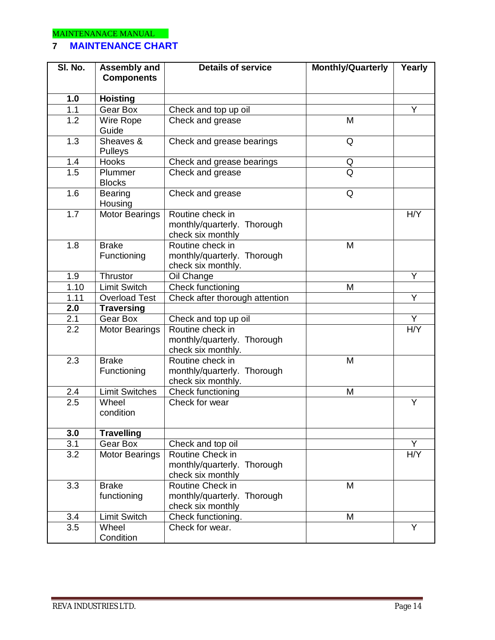## **7 MAINTENANCE CHART**

| SI. No.          | Assembly and                | <b>Monthly/Quarterly</b><br><b>Details of service</b>                     |   | Yearly                  |  |  |
|------------------|-----------------------------|---------------------------------------------------------------------------|---|-------------------------|--|--|
|                  | <b>Components</b>           |                                                                           |   |                         |  |  |
| 1.0              | <b>Hoisting</b>             |                                                                           |   |                         |  |  |
| 1.1              | Gear Box                    | Check and top up oil                                                      |   | Y                       |  |  |
| $\overline{1.2}$ | Wire Rope                   | Check and grease                                                          | M |                         |  |  |
|                  | Guide                       |                                                                           |   |                         |  |  |
| $\overline{1.3}$ | Sheaves &<br>Pulleys        | Check and grease bearings                                                 | Q |                         |  |  |
| 1.4              | <b>Hooks</b>                | Check and grease bearings                                                 | Q |                         |  |  |
| 1.5              | Plummer<br><b>Blocks</b>    | Check and grease                                                          | Q |                         |  |  |
| 1.6              | <b>Bearing</b><br>Housing   | Check and grease                                                          | Q |                         |  |  |
| 1.7              | <b>Motor Bearings</b>       | Routine check in<br>monthly/quarterly. Thorough<br>check six monthly      |   |                         |  |  |
| 1.8              | <b>Brake</b><br>Functioning | Routine check in<br>monthly/quarterly. Thorough<br>check six monthly.     | M |                         |  |  |
| 1.9              | <b>Thrustor</b>             | Oil Change                                                                |   | Ÿ                       |  |  |
| 1.10             | <b>Limit Switch</b>         | <b>Check functioning</b>                                                  | M |                         |  |  |
| 1.11             | <b>Overload Test</b>        | Check after thorough attention                                            |   | Y                       |  |  |
| 2.0              | <b>Traversing</b>           |                                                                           |   |                         |  |  |
| 2.1              | Gear Box                    | Check and top up oil                                                      |   | Y                       |  |  |
| 2.2              | <b>Motor Bearings</b>       | Routine check in<br>monthly/quarterly. Thorough<br>check six monthly.     |   | H/Y                     |  |  |
| 2.3              | <b>Brake</b><br>Functioning | Routine check in<br>monthly/quarterly. Thorough<br>check six monthly.     | M |                         |  |  |
| 2.4              | <b>Limit Switches</b>       | <b>Check functioning</b>                                                  | M |                         |  |  |
| $\overline{2.5}$ | Wheel<br>condition          | Check for wear                                                            |   | Y                       |  |  |
| 3.0              | <b>Travelling</b>           |                                                                           |   |                         |  |  |
| 3.1              | Gear Box                    | Check and top oil                                                         |   | Ÿ                       |  |  |
| 3.2              | <b>Motor Bearings</b>       | Routine Check in<br>monthly/quarterly. Thorough<br>check six monthly      |   | H/Y                     |  |  |
| 3.3              | <b>Brake</b><br>functioning | Routine Check in<br>M<br>monthly/quarterly. Thorough<br>check six monthly |   |                         |  |  |
| 3.4              | <b>Limit Switch</b>         | Check functioning.                                                        | M |                         |  |  |
| $\overline{3.5}$ | Wheel<br>Condition          | Check for wear.                                                           |   | $\overline{\mathsf{Y}}$ |  |  |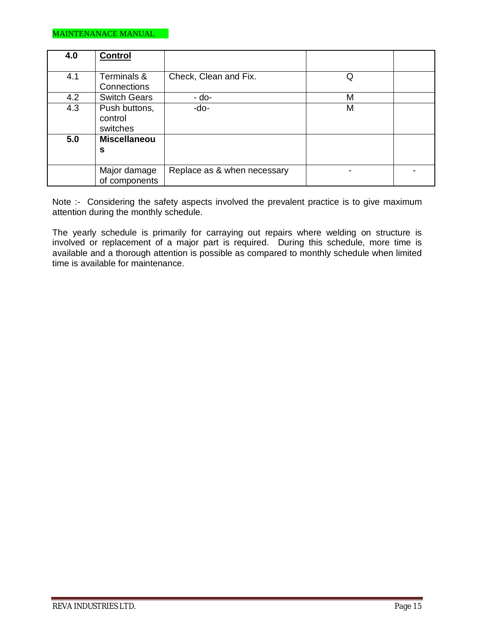| 4.0 | <b>Control</b>      |                             |   |  |
|-----|---------------------|-----------------------------|---|--|
|     |                     |                             |   |  |
| 4.1 | Terminals &         | Check, Clean and Fix.       | Q |  |
|     | Connections         |                             |   |  |
| 4.2 | <b>Switch Gears</b> | - do-                       | M |  |
| 4.3 | Push buttons,       | -do-                        | M |  |
|     | control             |                             |   |  |
|     | switches            |                             |   |  |
| 5.0 | <b>Miscellaneou</b> |                             |   |  |
|     | S                   |                             |   |  |
|     |                     |                             |   |  |
|     | Major damage        | Replace as & when necessary |   |  |
|     | of components       |                             |   |  |

Note :- Considering the safety aspects involved the prevalent practice is to give maximum attention during the monthly schedule.

The yearly schedule is primarily for carraying out repairs where welding on structure is involved or replacement of a major part is required. During this schedule, more time is available and a thorough attention is possible as compared to monthly schedule when limited time is available for maintenance.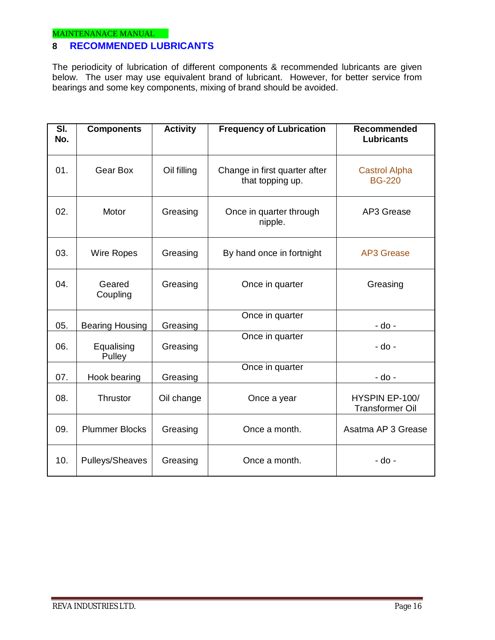## **8 RECOMMENDED LUBRICANTS**

The periodicity of lubrication of different components & recommended lubricants are given below. The user may use equivalent brand of lubricant. However, for better service from bearings and some key components, mixing of brand should be avoided.

| $\overline{\mathsf{SI}}$ .<br>No. | <b>Components</b>      | <b>Activity</b> | <b>Frequency of Lubrication</b>                   | Recommended<br><b>Lubricants</b>         |
|-----------------------------------|------------------------|-----------------|---------------------------------------------------|------------------------------------------|
| 01.                               | Gear Box               | Oil filling     | Change in first quarter after<br>that topping up. | <b>Castrol Alpha</b><br><b>BG-220</b>    |
| 02.                               | Motor                  | Greasing        | Once in quarter through<br>nipple.                | AP3 Grease                               |
| 03.                               | <b>Wire Ropes</b>      | Greasing        | By hand once in fortnight                         | <b>AP3 Grease</b>                        |
| 04.                               | Geared<br>Coupling     | Greasing        | Once in quarter                                   | Greasing                                 |
| 05.                               | <b>Bearing Housing</b> | Greasing        | Once in quarter                                   | - do -                                   |
| 06.                               | Equalising<br>Pulley   | Greasing        | Once in quarter                                   | - do -                                   |
| 07.                               | Hook bearing           | Greasing        | Once in quarter                                   | - do -                                   |
| 08.                               | Thrustor               | Oil change      | Once a year                                       | HYSPIN EP-100/<br><b>Transformer Oil</b> |
| 09.                               | <b>Plummer Blocks</b>  | Greasing        | Once a month.                                     | Asatma AP 3 Grease                       |
| 10.                               | Pulleys/Sheaves        | Greasing        | Once a month.                                     | - do -                                   |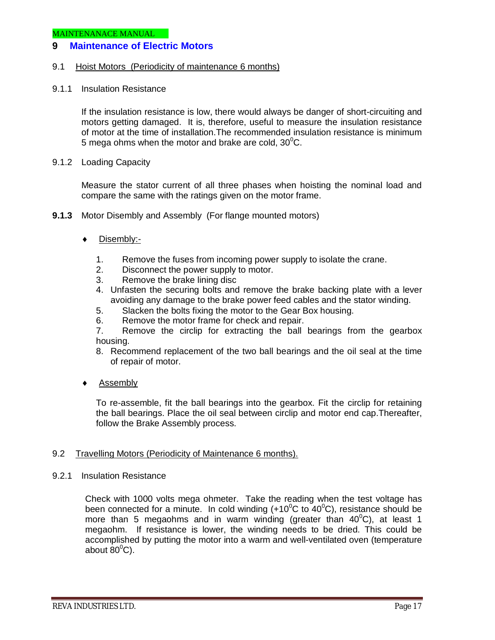## **9 Maintenance of Electric Motors**

#### 9.1 Hoist Motors (Periodicity of maintenance 6 months)

9.1.1 Insulation Resistance

If the insulation resistance is low, there would always be danger of short-circuiting and motors getting damaged. It is, therefore, useful to measure the insulation resistance of motor at the time of installation.The recommended insulation resistance is minimum 5 mega ohms when the motor and brake are cold,  $30^{\circ}$ C.

9.1.2 Loading Capacity

Measure the stator current of all three phases when hoisting the nominal load and compare the same with the ratings given on the motor frame.

- **9.1.3** Motor Disembly and Assembly (For flange mounted motors)
	- ◆ Disembly:-
		- 1. Remove the fuses from incoming power supply to isolate the crane.
		- 2. Disconnect the power supply to motor.
		- 3. Remove the brake lining disc
		- 4. Unfasten the securing bolts and remove the brake backing plate with a lever avoiding any damage to the brake power feed cables and the stator winding.
		- 5. Slacken the bolts fixing the motor to the Gear Box housing.
		- 6. Remove the motor frame for check and repair.

7. Remove the circlip for extracting the ball bearings from the gearbox housing.

- 8. Recommend replacement of the two ball bearings and the oil seal at the time of repair of motor.
- ◆ Assembly

To re-assemble, fit the ball bearings into the gearbox. Fit the circlip for retaining the ball bearings. Place the oil seal between circlip and motor end cap.Thereafter, follow the Brake Assembly process.

#### 9.2 Travelling Motors (Periodicity of Maintenance 6 months).

9.2.1 Insulation Resistance

Check with 1000 volts mega ohmeter. Take the reading when the test voltage has been connected for a minute. In cold winding  $(+10^{\circ}$ C to  $40^{\circ}$ C), resistance should be more than 5 megaohms and in warm winding (greater than 40 $^0$ C), at least 1 megaohm. If resistance is lower, the winding needs to be dried. This could be accomplished by putting the motor into a warm and well-ventilated oven (temperature about  $80^{\circ}$ C).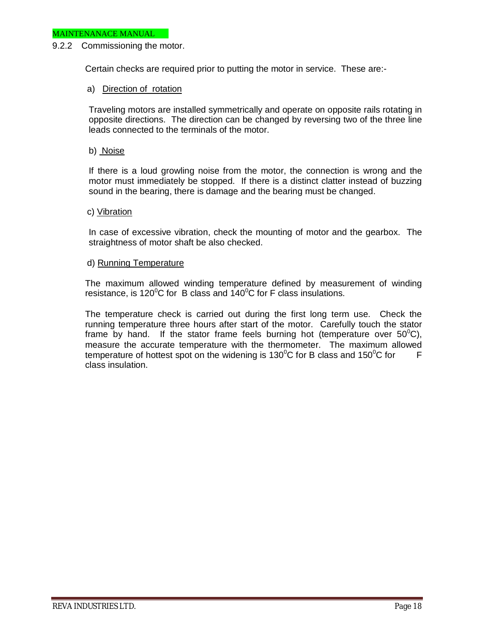#### 9.2.2 Commissioning the motor.

Certain checks are required prior to putting the motor in service. These are:-

#### a) Direction of rotation

Traveling motors are installed symmetrically and operate on opposite rails rotating in opposite directions. The direction can be changed by reversing two of the three line leads connected to the terminals of the motor.

#### b) Noise

If there is a loud growling noise from the motor, the connection is wrong and the motor must immediately be stopped. If there is a distinct clatter instead of buzzing sound in the bearing, there is damage and the bearing must be changed.

#### c) Vibration

In case of excessive vibration, check the mounting of motor and the gearbox. The straightness of motor shaft be also checked.

#### d) Running Temperature

The maximum allowed winding temperature defined by measurement of winding resistance, is 120 $\mathrm{^0C}$  for B class and 140 $\mathrm{^0C}$  for F class insulations.

The temperature check is carried out during the first long term use. Check the running temperature three hours after start of the motor. Carefully touch the stator frame by hand. If the stator frame feels burning hot (temperature over  $50^{\circ}$ C), measure the accurate temperature with the thermometer. The maximum allowed temperature of hottest spot on the widening is 130 $\mathrm{^0C}$  for B class and 150 $\mathrm{^0C}$  for F class insulation.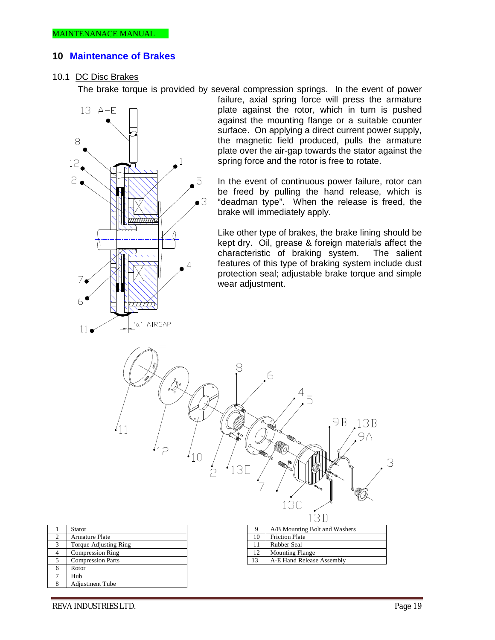#### **10 Maintenance of Brakes**

#### 10.1 DC Disc Brakes

The brake torque is provided by several compression springs. In the event of power



 $'12$ 

 $'10$ 

 $\dot{\supset}$ 

failure, axial spring force will press the armature plate against the rotor, which in turn is pushed against the mounting flange or a suitable counter surface. On applying a direct current power supply, the magnetic field produced, pulls the armature plate over the air-gap towards the stator against the spring force and the rotor is free to rotate.

In the event of continuous power failure, rotor can be freed by pulling the hand release, which is "deadman type". When the release is freed, the brake will immediately apply.

Like other type of brakes, the brake lining should be kept dry. Oil, grease & foreign materials affect the characteristic of braking system. features of this type of braking system include dust protection seal; adjustable brake torque and simple wear adjustment.

6

3E



 $(11)$ 

|    | $\rightarrow$                 |
|----|-------------------------------|
|    | 13D                           |
| 9  | A/B Mounting Bolt and Washers |
| 10 | <b>Friction Plate</b>         |
| 11 | <b>Rubber Seal</b>            |
| 12 | <b>Mounting Flange</b>        |
| 13 | A-E Hand Release Assembly     |

 $\overline{5}$ 

9B

 $13B$ 

 $9A$ 

3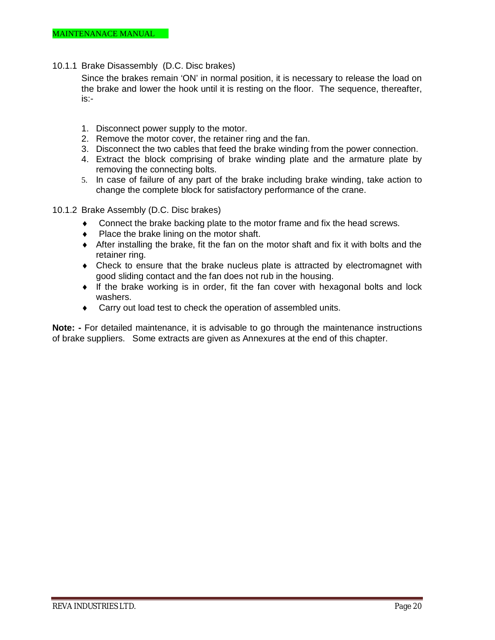10.1.1 Brake Disassembly (D.C. Disc brakes)

Since the brakes remain 'ON' in normal position, it is necessary to release the load on the brake and lower the hook until it is resting on the floor. The sequence, thereafter, is:-

- 1. Disconnect power supply to the motor.
- 2. Remove the motor cover, the retainer ring and the fan.
- 3. Disconnect the two cables that feed the brake winding from the power connection.
- 4. Extract the block comprising of brake winding plate and the armature plate by removing the connecting bolts.
- 5. In case of failure of any part of the brake including brake winding, take action to change the complete block for satisfactory performance of the crane.
- 10.1.2 Brake Assembly (D.C. Disc brakes)
	- Connect the brake backing plate to the motor frame and fix the head screws.
	- Place the brake lining on the motor shaft.
	- After installing the brake, fit the fan on the motor shaft and fix it with bolts and the retainer ring.
	- Check to ensure that the brake nucleus plate is attracted by electromagnet with good sliding contact and the fan does not rub in the housing.
	- $\bullet$  If the brake working is in order, fit the fan cover with hexagonal bolts and lock washers.
	- ◆ Carry out load test to check the operation of assembled units.

**Note:** - For detailed maintenance, it is advisable to go through the maintenance instructions of brake suppliers. Some extracts are given as Annexures at the end of this chapter.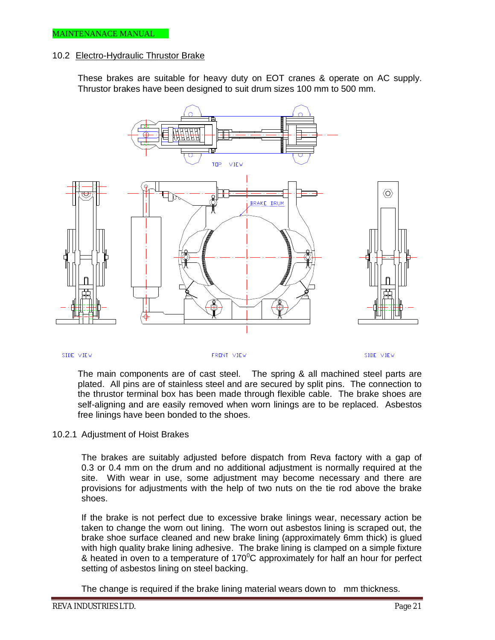#### 10.2 Electro-Hydraulic Thrustor Brake

These brakes are suitable for heavy duty on EOT cranes & operate on AC supply. Thrustor brakes have been designed to suit drum sizes 100 mm to 500 mm.



SIDE VIEW

FRONT VIEW

SIDE VIEW

The main components are of cast steel. The spring & all machined steel parts are plated. All pins are of stainless steel and are secured by split pins. The connection to the thrustor terminal box has been made through flexible cable. The brake shoes are self-aligning and are easily removed when worn linings are to be replaced. Asbestos free linings have been bonded to the shoes.

#### 10.2.1 Adjustment of Hoist Brakes

The brakes are suitably adjusted before dispatch from Reva factory with a gap of 0.3 or 0.4 mm on the drum and no additional adjustment is normally required at the site. With wear in use, some adjustment may become necessary and there are provisions for adjustments with the help of two nuts on the tie rod above the brake shoes.

If the brake is not perfect due to excessive brake linings wear, necessary action be taken to change the worn out lining. The worn out asbestos lining is scraped out, the brake shoe surface cleaned and new brake lining (approximately 6mm thick) is glued with high quality brake lining adhesive. The brake lining is clamped on a simple fixture & heated in oven to a temperature of  $170^{\circ}$ C approximately for half an hour for perfect setting of asbestos lining on steel backing.

The change is required if the brake lining material wears down to mm thickness.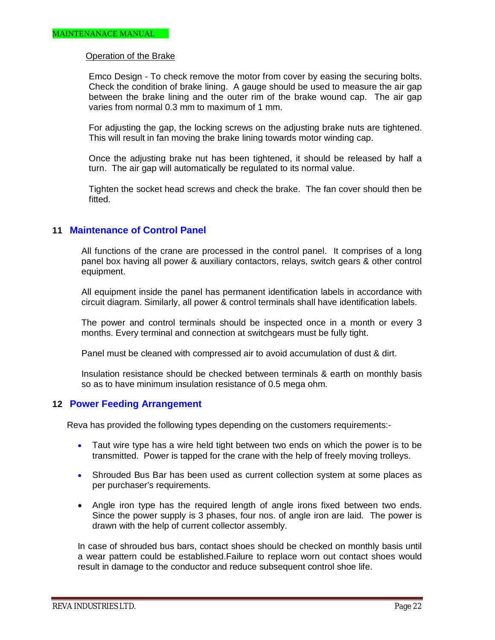#### Operation of the Brake

Emco Design - To check remove the motor from cover by easing the securing bolts. Check the condition of brake lining. A gauge should be used to measure the air gap between the brake lining and the outer rim of the brake wound cap. The air gap varies from normal 0.3 mm to maximum of 1 mm.

For adjusting the gap, the locking screws on the adjusting brake nuts are tightened. This will result in fan moving the brake lining towards motor winding cap.

Once the adjusting brake nut has been tightened, it should be released by half a turn. The air gap will automatically be regulated to its normal value.

Tighten the socket head screws and check the brake. The fan cover should then be fitted.

#### **11 Maintenance of Control Panel**

All functions of the crane are processed in the control panel. It comprises of a long panel box having all power & auxiliary contactors, relays, switch gears & other control equipment.

All equipment inside the panel has permanent identification labels in accordance with circuit diagram. Similarly, all power & control terminals shall have identification labels.

The power and control terminals should be inspected once in a month or every 3 months. Every terminal and connection at switchgears must be fully tight.

Panel must be cleaned with compressed air to avoid accumulation of dust & dirt.

Insulation resistance should be checked between terminals & earth on monthly basis so as to have minimum insulation resistance of 0.5 mega ohm.

#### **12 Power Feeding Arrangement**

Reva has provided the following types depending on the customers requirements:-

- Taut wire type has a wire held tight between two ends on which the power is to be transmitted. Power is tapped for the crane with the help of freely moving trolleys.
- Shrouded Bus Bar has been used as current collection system at some places as per purchaser's requirements.
- Angle iron type has the required length of angle irons fixed between two ends. Since the power supply is 3 phases, four nos. of angle iron are laid. The power is drawn with the help of current collector assembly.

In case of shrouded bus bars, contact shoes should be checked on monthly basis until a wear pattern could be established.Failure to replace worn out contact shoes would result in damage to the conductor and reduce subsequent control shoe life.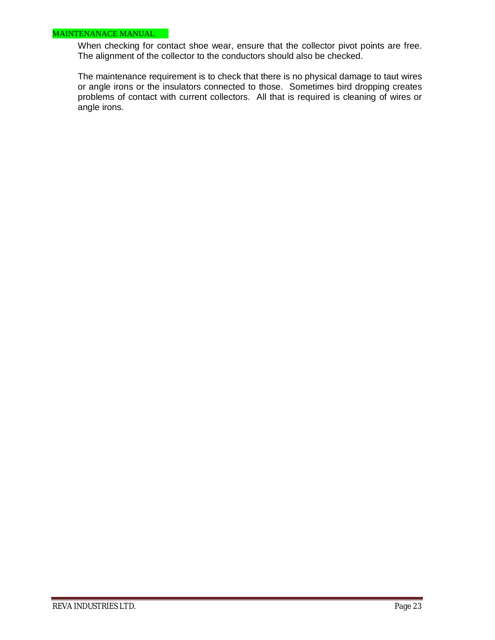#### MAINTENANACE MANUAL

When checking for contact shoe wear, ensure that the collector pivot points are free. The alignment of the collector to the conductors should also be checked.

The maintenance requirement is to check that there is no physical damage to taut wires or angle irons or the insulators connected to those. Sometimes bird dropping creates problems of contact with current collectors. All that is required is cleaning of wires or angle irons.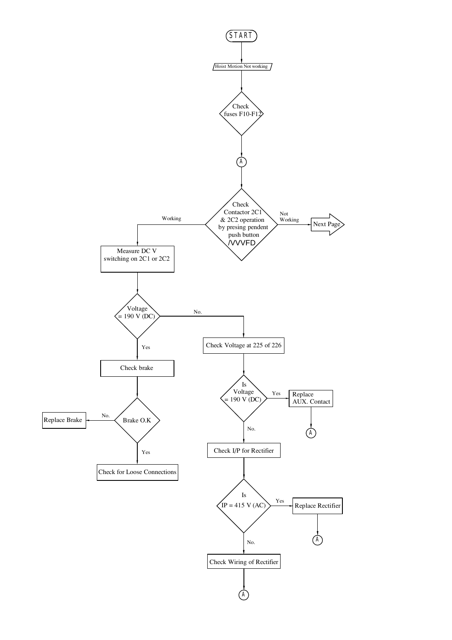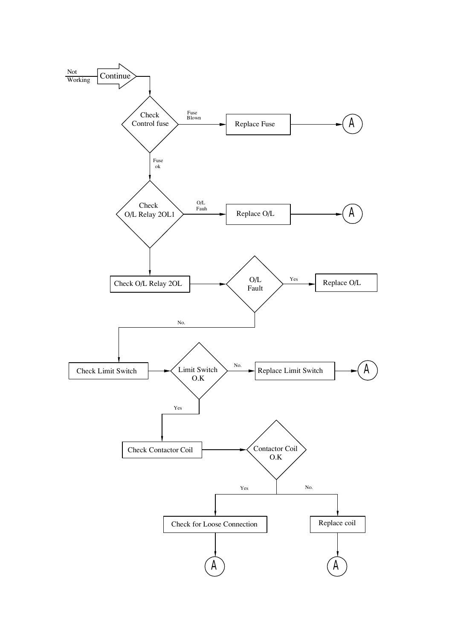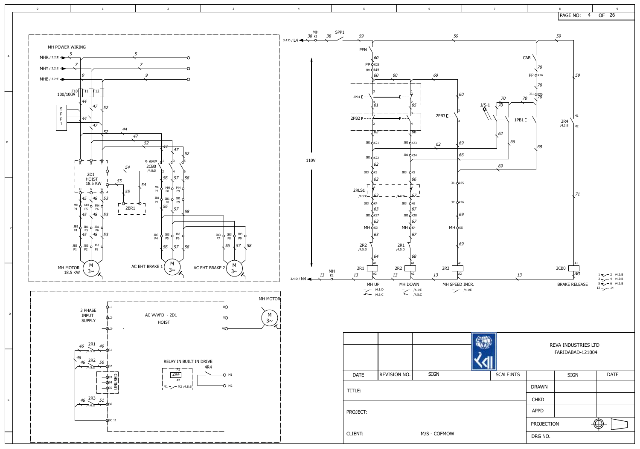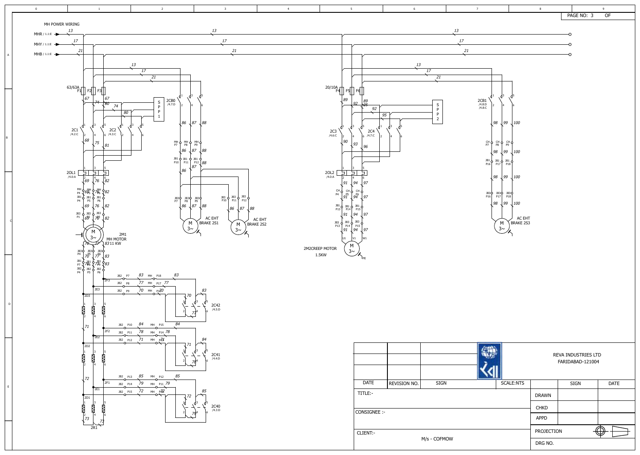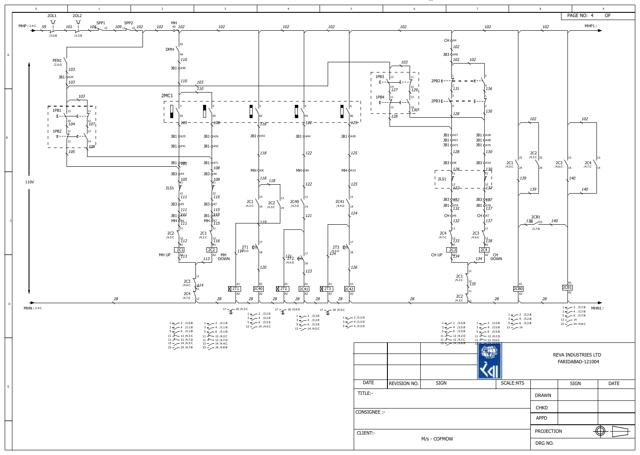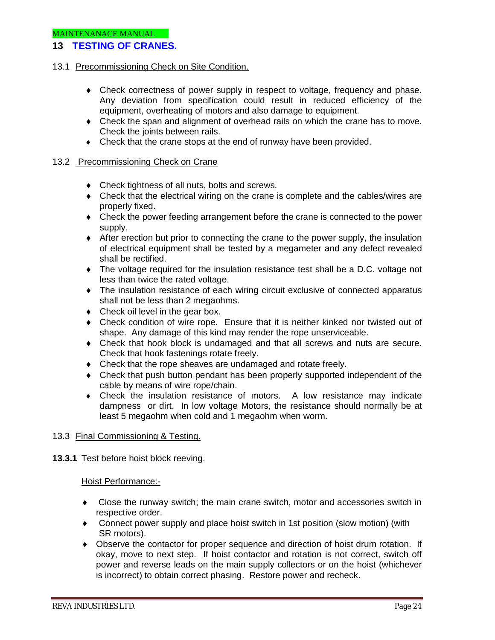## **13 TESTING OF CRANES.**

#### 13.1 Precommissioning Check on Site Condition.

- Check correctness of power supply in respect to voltage, frequency and phase. Any deviation from specification could result in reduced efficiency of the equipment, overheating of motors and also damage to equipment.
- Check the span and alignment of overhead rails on which the crane has to move. Check the joints between rails.
- Check that the crane stops at the end of runway have been provided.

#### 13.2 Precommissioning Check on Crane

- Check tightness of all nuts, bolts and screws.
- Check that the electrical wiring on the crane is complete and the cables/wires are properly fixed.
- Check the power feeding arrangement before the crane is connected to the power supply.
- After erection but prior to connecting the crane to the power supply, the insulation of electrical equipment shall be tested by a megameter and any defect revealed shall be rectified.
- The voltage required for the insulation resistance test shall be a D.C. voltage not less than twice the rated voltage.
- The insulation resistance of each wiring circuit exclusive of connected apparatus shall not be less than 2 megaohms.
- Check oil level in the gear box.
- Check condition of wire rope. Ensure that it is neither kinked nor twisted out of shape. Any damage of this kind may render the rope unserviceable.
- Check that hook block is undamaged and that all screws and nuts are secure. Check that hook fastenings rotate freely.
- Check that the rope sheaves are undamaged and rotate freely.
- Check that push button pendant has been properly supported independent of the cable by means of wire rope/chain.
- Check the insulation resistance of motors. A low resistance may indicate dampness or dirt. In low voltage Motors, the resistance should normally be at least 5 megaohm when cold and 1 megaohm when worm.

#### 13.3 Final Commissioning & Testing.

**13.3.1** Test before hoist block reeving.

#### Hoist Performance:-

- Close the runway switch; the main crane switch, motor and accessories switch in respective order.
- Connect power supply and place hoist switch in 1st position (slow motion) (with SR motors).
- Observe the contactor for proper sequence and direction of hoist drum rotation. If okay, move to next step. If hoist contactor and rotation is not correct, switch off power and reverse leads on the main supply collectors or on the hoist (whichever is incorrect) to obtain correct phasing. Restore power and recheck.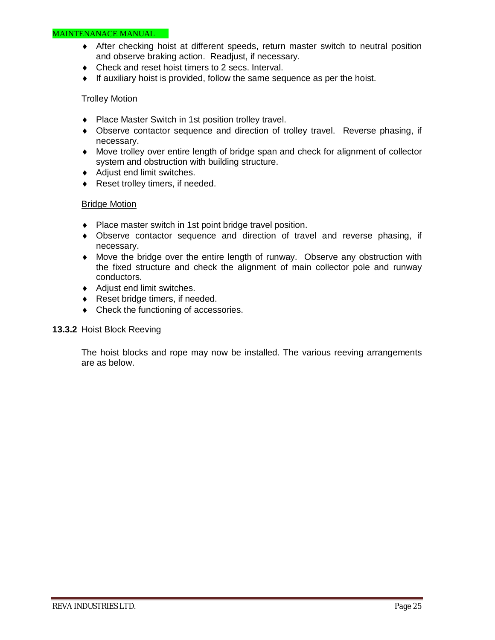#### MAINTENANACE MANUAL

- After checking hoist at different speeds, return master switch to neutral position and observe braking action. Readjust, if necessary.
- Check and reset hoist timers to 2 secs. Interval.
- $\bullet$  If auxiliary hoist is provided, follow the same sequence as per the hoist.

#### Trolley Motion

- Place Master Switch in 1st position trolley travel.
- Observe contactor sequence and direction of trolley travel. Reverse phasing, if necessary.
- Move trolley over entire length of bridge span and check for alignment of collector system and obstruction with building structure.
- ◆ Adjust end limit switches.
- ◆ Reset trolley timers, if needed.

#### Bridge Motion

- Place master switch in 1st point bridge travel position.
- Observe contactor sequence and direction of travel and reverse phasing, if necessary.
- Move the bridge over the entire length of runway. Observe any obstruction with the fixed structure and check the alignment of main collector pole and runway conductors.
- ◆ Adjust end limit switches.
- ◆ Reset bridge timers, if needed.
- Check the functioning of accessories.

#### **13.3.2** Hoist Block Reeving

The hoist blocks and rope may now be installed. The various reeving arrangements are as below.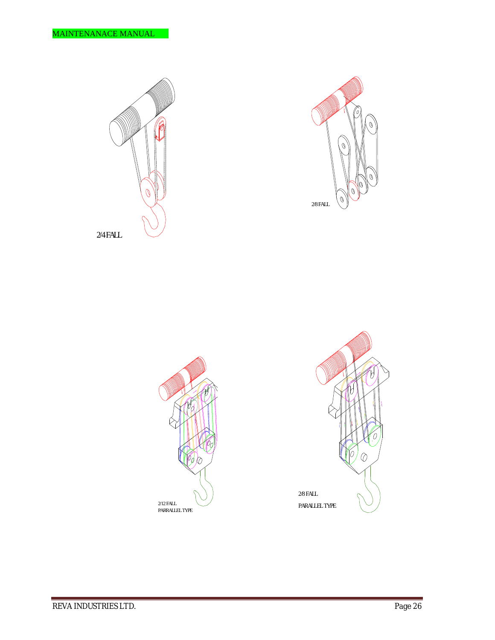



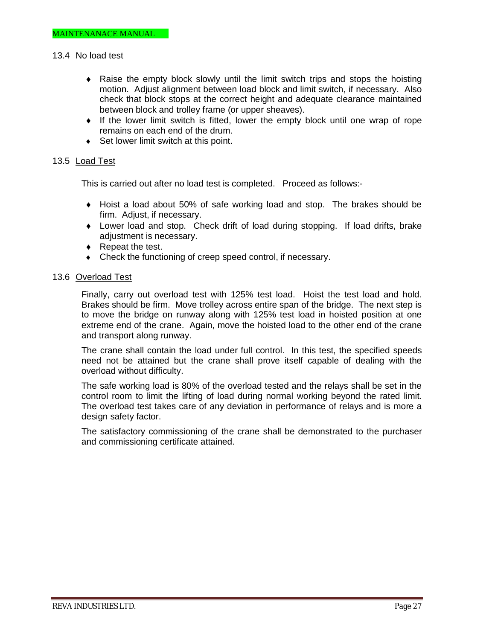#### 13.4 No load test

- Raise the empty block slowly until the limit switch trips and stops the hoisting motion. Adjust alignment between load block and limit switch, if necessary. Also check that block stops at the correct height and adequate clearance maintained between block and trolley frame (or upper sheaves).
- $\bullet$  If the lower limit switch is fitted, lower the empty block until one wrap of rope remains on each end of the drum.
- ◆ Set lower limit switch at this point.

#### 13.5 Load Test

This is carried out after no load test is completed. Proceed as follows:-

- Hoist a load about 50% of safe working load and stop. The brakes should be firm. Adjust, if necessary.
- Lower load and stop. Check drift of load during stopping. If load drifts, brake adjustment is necessary.
- ◆ Repeat the test.
- Check the functioning of creep speed control, if necessary.

#### 13.6 Overload Test

Finally, carry out overload test with 125% test load. Hoist the test load and hold. Brakes should be firm. Move trolley across entire span of the bridge. The next step is to move the bridge on runway along with 125% test load in hoisted position at one extreme end of the crane. Again, move the hoisted load to the other end of the crane and transport along runway.

The crane shall contain the load under full control. In this test, the specified speeds need not be attained but the crane shall prove itself capable of dealing with the overload without difficulty.

The safe working load is 80% of the overload tested and the relays shall be set in the control room to limit the lifting of load during normal working beyond the rated limit. The overload test takes care of any deviation in performance of relays and is more a design safety factor.

The satisfactory commissioning of the crane shall be demonstrated to the purchaser and commissioning certificate attained.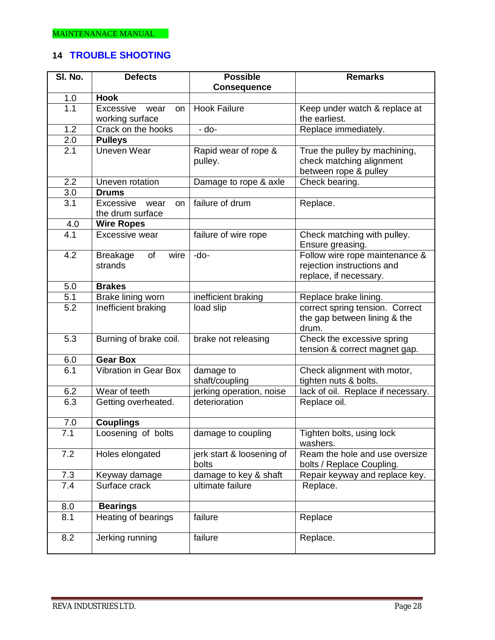## **14 TROUBLE SHOOTING**

| SI. No.          | <b>Defects</b>                              | <b>Possible</b>                    | <b>Remarks</b>                                                                         |
|------------------|---------------------------------------------|------------------------------------|----------------------------------------------------------------------------------------|
|                  |                                             | <b>Consequence</b>                 |                                                                                        |
| 1.0              | <b>Hook</b>                                 |                                    |                                                                                        |
| 1.1              | Excessive<br>wear<br>on                     | <b>Hook Failure</b>                | Keep under watch & replace at                                                          |
|                  | working surface                             |                                    | the earliest.                                                                          |
| 1.2              | Crack on the hooks                          | - do-                              | Replace immediately.                                                                   |
| 2.0              | <b>Pulleys</b>                              |                                    |                                                                                        |
| $\overline{2.1}$ | <b>Uneven Wear</b>                          | Rapid wear of rope &<br>pulley.    | True the pulley by machining,<br>check matching alignment<br>between rope & pulley     |
| 2.2              | Uneven rotation                             | Damage to rope & axle              | Check bearing.                                                                         |
| 3.0              | <b>Drums</b>                                |                                    |                                                                                        |
| 3.1              | Excessive<br>wear<br>on<br>the drum surface | failure of drum                    | Replace.                                                                               |
| 4.0              | <b>Wire Ropes</b>                           |                                    |                                                                                        |
| 4.1              | Excessive wear                              | failure of wire rope               | Check matching with pulley.<br>Ensure greasing.                                        |
| 4.2              | <b>Breakage</b><br>of<br>wire<br>strands    | -do-                               | Follow wire rope maintenance &<br>rejection instructions and<br>replace, if necessary. |
| 5.0              | <b>Brakes</b>                               |                                    |                                                                                        |
| 5.1              | Brake lining worn                           | inefficient braking                | Replace brake lining.                                                                  |
| 5.2              | Inefficient braking                         | load slip                          | correct spring tension. Correct<br>the gap between lining & the<br>drum.               |
| $\overline{5.3}$ | Burning of brake coil.                      | brake not releasing                | Check the excessive spring<br>tension & correct magnet gap.                            |
| 6.0              | <b>Gear Box</b>                             |                                    |                                                                                        |
| 6.1              | <b>Vibration in Gear Box</b>                | damage to<br>shaft/coupling        | Check alignment with motor,<br>tighten nuts & bolts.                                   |
| 6.2              | Wear of teeth                               | jerking operation, noise           | lack of oil. Replace if necessary.                                                     |
| 6.3              | Getting overheated.                         | deterioration                      | Replace oil.                                                                           |
| $7.0\,$          | <b>Couplings</b>                            |                                    |                                                                                        |
| 7.1              | Loosening of bolts                          | damage to coupling                 | Tighten bolts, using lock<br>washers.                                                  |
| 7.2              | Holes elongated                             | jerk start & loosening of<br>bolts | Ream the hole and use oversize<br>bolts / Replace Coupling.                            |
| 7.3              | Keyway damage                               | damage to key & shaft              | Repair keyway and replace key.                                                         |
| 7.4              | Surface crack                               | ultimate failure                   | Replace.                                                                               |
| 8.0              | <b>Bearings</b>                             |                                    |                                                                                        |
| 8.1              | Heating of bearings                         | failure                            | Replace                                                                                |
| 8.2              | Jerking running                             | failure                            | Replace.                                                                               |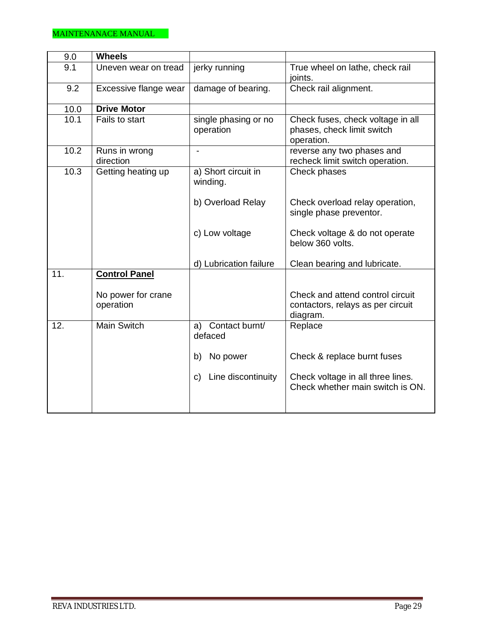| 9.0  | <b>Wheels</b>                   |                                   |                                                                                   |  |
|------|---------------------------------|-----------------------------------|-----------------------------------------------------------------------------------|--|
|      |                                 |                                   |                                                                                   |  |
| 9.1  | Uneven wear on tread            | jerky running                     | True wheel on lathe, check rail<br>joints.                                        |  |
| 9.2  | Excessive flange wear           | damage of bearing.                | Check rail alignment.                                                             |  |
| 10.0 | <b>Drive Motor</b>              |                                   |                                                                                   |  |
| 10.1 | Fails to start                  | single phasing or no<br>operation | Check fuses, check voltage in all<br>phases, check limit switch<br>operation.     |  |
| 10.2 | Runs in wrong<br>direction      |                                   | reverse any two phases and<br>recheck limit switch operation.                     |  |
| 10.3 | Getting heating up              | a) Short circuit in<br>winding.   | Check phases                                                                      |  |
|      |                                 | b) Overload Relay                 | Check overload relay operation,<br>single phase preventor.                        |  |
|      |                                 | c) Low voltage                    | Check voltage & do not operate<br>below 360 volts.                                |  |
|      |                                 | d) Lubrication failure            | Clean bearing and lubricate.                                                      |  |
| 11.  | <b>Control Panel</b>            |                                   |                                                                                   |  |
|      | No power for crane<br>operation |                                   | Check and attend control circuit<br>contactors, relays as per circuit<br>diagram. |  |
| 12.  | <b>Main Switch</b>              | a) Contact burnt/<br>defaced      | Replace                                                                           |  |
|      |                                 | No power<br>b)                    | Check & replace burnt fuses                                                       |  |
|      |                                 | Line discontinuity<br>C)          | Check voltage in all three lines.<br>Check whether main switch is ON.             |  |
|      |                                 |                                   |                                                                                   |  |